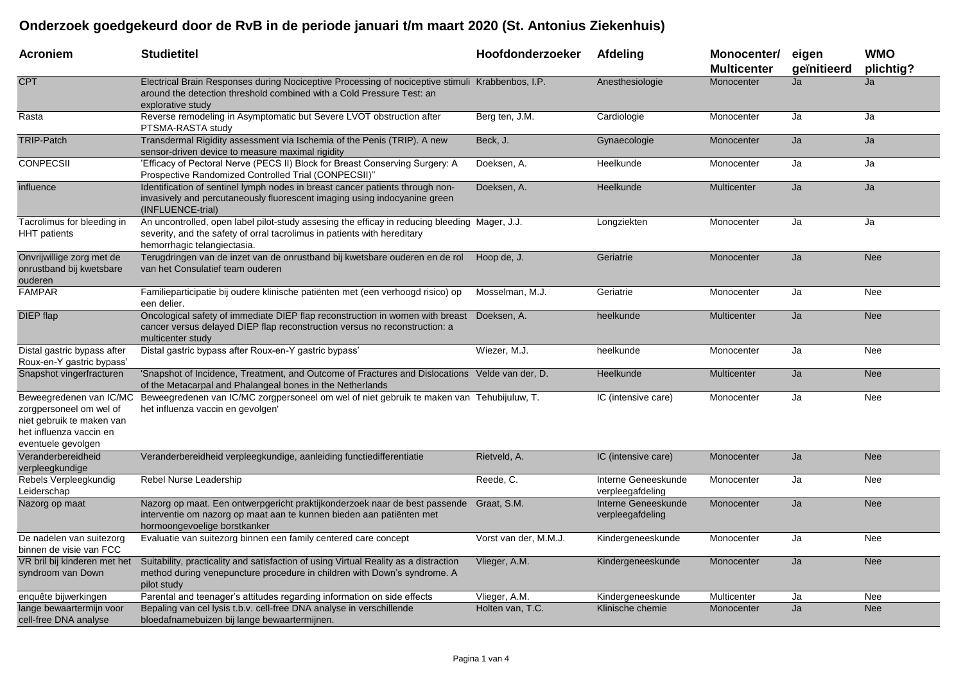## **Onderzoek goedgekeurd door de RvB in de periode januari t/m maart 2020 (St. Antonius Ziekenhuis)**

| <b>Acroniem</b>                                                                                                                  | <b>Studietitel</b>                                                                                                                                                                                       | Hoofdonderzoeker      | Afdeling                                | Monocenter/<br><b>Multicenter</b> | eigen<br>geïnitieerd | <b>WMO</b><br>plichtig? |
|----------------------------------------------------------------------------------------------------------------------------------|----------------------------------------------------------------------------------------------------------------------------------------------------------------------------------------------------------|-----------------------|-----------------------------------------|-----------------------------------|----------------------|-------------------------|
| <b>CPT</b>                                                                                                                       | Electrical Brain Responses during Nociceptive Processing of nociceptive stimuli Krabbenbos, I.P.<br>around the detection threshold combined with a Cold Pressure Test: an<br>explorative study           |                       | Anesthesiologie                         | Monocenter                        | Ja                   | Ja                      |
| Rasta                                                                                                                            | Reverse remodeling in Asymptomatic but Severe LVOT obstruction after<br>PTSMA-RASTA study                                                                                                                | Berg ten, J.M.        | Cardiologie                             | Monocenter                        | Ja                   | Ja                      |
| <b>TRIP-Patch</b>                                                                                                                | Transdermal Rigidity assessment via Ischemia of the Penis (TRIP). A new<br>sensor-driven device to measure maximal rigidity                                                                              | Beck, J.              | Gynaecologie                            | Monocenter                        | Ja                   | Ja                      |
| <b>CONPECSII</b>                                                                                                                 | 'Efficacy of Pectoral Nerve (PECS II) Block for Breast Conserving Surgery: A<br>Prospective Randomized Controlled Trial (CONPECSII)"                                                                     | Doeksen, A.           | Heelkunde                               | Monocenter                        | Ja                   | Ja                      |
| influence                                                                                                                        | Identification of sentinel lymph nodes in breast cancer patients through non-<br>invasively and percutaneously fluorescent imaging using indocyanine green<br>(INFLUENCE-trial)                          | Doeksen, A.           | Heelkunde                               | Multicenter                       | Ja                   | Ja                      |
| Tacrolimus for bleeding in<br><b>HHT</b> patients                                                                                | An uncontrolled, open label pilot-study assesing the efficay in reducing bleeding Mager, J.J.<br>severity, and the safety of orral tacrolimus in patients with hereditary<br>hemorrhagic telangiectasia. |                       | Longziekten                             | Monocenter                        | Ja                   | Ja                      |
| Onvrijwillige zorg met de<br>onrustband bij kwetsbare<br>ouderen                                                                 | Terugdringen van de inzet van de onrustband bij kwetsbare ouderen en de rol Hoop de, J.<br>van het Consulatief team ouderen                                                                              |                       | Geriatrie                               | Monocenter                        | Ja                   | <b>Nee</b>              |
| <b>FAMPAR</b>                                                                                                                    | Familieparticipatie bij oudere klinische patiënten met (een verhoogd risico) op<br>een delier.                                                                                                           | Mosselman, M.J.       | Geriatrie                               | Monocenter                        | Ja                   | Nee                     |
| <b>DIEP</b> flap                                                                                                                 | Oncological safety of immediate DIEP flap reconstruction in women with breast Doeksen, A.<br>cancer versus delayed DIEP flap reconstruction versus no reconstruction: a<br>multicenter study             |                       | heelkunde                               | Multicenter                       | Ja                   | <b>Nee</b>              |
| Distal gastric bypass after<br>Roux-en-Y gastric bypass'                                                                         | Distal gastric bypass after Roux-en-Y gastric bypass'                                                                                                                                                    | Wiezer, M.J.          | heelkunde                               | Monocenter                        | Ja                   | <b>Nee</b>              |
| Snapshot vingerfracturen                                                                                                         | 'Snapshot of Incidence, Treatment, and Outcome of Fractures and Dislocations Velde van der, D.<br>of the Metacarpal and Phalangeal bones in the Netherlands                                              |                       | Heelkunde                               | Multicenter                       | Ja                   | <b>Nee</b>              |
| Beweegredenen van IC/MC<br>zorgpersoneel om wel of<br>niet gebruik te maken van<br>het influenza vaccin en<br>eventuele gevolgen | Beweegredenen van IC/MC zorgpersoneel om wel of niet gebruik te maken van Tehubijuluw, T.<br>het influenza vaccin en gevolgen'                                                                           |                       | IC (intensive care)                     | Monocenter                        | Ja                   | Nee                     |
| Veranderbereidheid<br>verpleegkundige                                                                                            | Veranderbereidheid verpleegkundige, aanleiding functiedifferentiatie                                                                                                                                     | Rietveld, A.          | IC (intensive care)                     | Monocenter                        | Ja                   | <b>Nee</b>              |
| Rebels Verpleegkundig<br>Leiderschap                                                                                             | Rebel Nurse Leadership                                                                                                                                                                                   | Reede, C.             | Interne Geneeskunde<br>verpleegafdeling | Monocenter                        | Ja                   | Nee                     |
| Nazorg op maat                                                                                                                   | Nazorg op maat. Een ontwerpgericht praktijkonderzoek naar de best passende<br>interventie om nazorg op maat aan te kunnen bieden aan patiënten met<br>hormoongevoelige borstkanker                       | Graat, S.M.           | Interne Geneeskunde<br>verpleegafdeling | Monocenter                        | Ja                   | <b>Nee</b>              |
| De nadelen van suitezorg<br>binnen de visie van FCC                                                                              | Evaluatie van suitezorg binnen een family centered care concept                                                                                                                                          | Vorst van der, M.M.J. | Kindergeneeskunde                       | Monocenter                        | Ja                   | Nee                     |
| VR bril bij kinderen met het<br>syndroom van Down                                                                                | Suitability, practicality and satisfaction of using Virtual Reality as a distraction<br>method during venepuncture procedure in children with Down's syndrome. A<br>pilot study                          | Vlieger, A.M.         | Kindergeneeskunde                       | Monocenter                        | Ja                   | <b>Nee</b>              |
| enquête bijwerkingen                                                                                                             | Parental and teenager's attitudes regarding information on side effects                                                                                                                                  | Vlieger, A.M.         | Kindergeneeskunde                       | Multicenter                       | Ja                   | Nee                     |
| lange bewaartermijn voor<br>cell-free DNA analyse                                                                                | Bepaling van cel lysis t.b.v. cell-free DNA analyse in verschillende<br>bloedafnamebuizen bij lange bewaartermijnen.                                                                                     | Holten van. T.C.      | Klinische chemie                        | Monocenter                        | Ja                   | <b>Nee</b>              |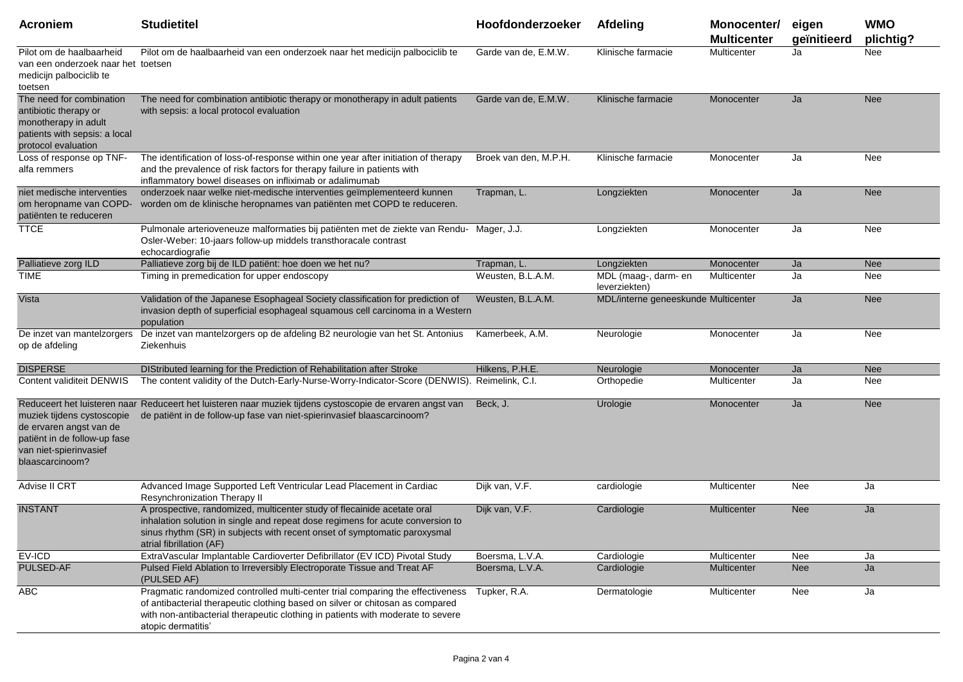| <b>Acroniem</b>                                                                                                                    | <b>Studietitel</b>                                                                                                                                                                                                                                                       | Hoofdonderzoeker      | <b>Afdeling</b>                       | Monocenter/<br><b>Multicenter</b> | eigen<br>geïnitieerd | <b>WMO</b><br>plichtig? |
|------------------------------------------------------------------------------------------------------------------------------------|--------------------------------------------------------------------------------------------------------------------------------------------------------------------------------------------------------------------------------------------------------------------------|-----------------------|---------------------------------------|-----------------------------------|----------------------|-------------------------|
| Pilot om de haalbaarheid<br>van een onderzoek naar het toetsen<br>medicijn palbociclib te<br>toetsen                               | Pilot om de haalbaarheid van een onderzoek naar het medicijn palbociclib te                                                                                                                                                                                              | Garde van de, E.M.W.  | Klinische farmacie                    | Multicenter                       | Ja                   | Nee                     |
| The need for combination<br>antibiotic therapy or<br>monotherapy in adult<br>patients with sepsis: a local<br>protocol evaluation  | The need for combination antibiotic therapy or monotherapy in adult patients<br>with sepsis: a local protocol evaluation                                                                                                                                                 | Garde van de. E.M.W.  | Klinische farmacie                    | Monocenter                        | Ja                   | <b>Nee</b>              |
| Loss of response op TNF-<br>alfa remmers                                                                                           | The identification of loss-of-response within one year after initiation of therapy<br>and the prevalence of risk factors for therapy failure in patients with<br>inflammatory bowel diseases on infliximab or adalimumab                                                 | Broek van den, M.P.H. | Klinische farmacie                    | Monocenter                        | Ja                   | Nee                     |
| niet medische interventies<br>om heropname van COPD-<br>patiënten te reduceren                                                     | onderzoek naar welke niet-medische interventies geïmplementeerd kunnen<br>worden om de klinische heropnames van patiënten met COPD te reduceren.                                                                                                                         | Trapman, L.           | Longziekten                           | Monocenter                        | Ja                   | <b>Nee</b>              |
| <b>TTCE</b>                                                                                                                        | Pulmonale arterioveneuze malformaties bij patiënten met de ziekte van Rendu- Mager, J.J.<br>Osler-Weber: 10-jaars follow-up middels transthoracale contrast<br>echocardiografie                                                                                          |                       | Longziekten                           | Monocenter                        | Ja                   | Nee                     |
| Palliatieve zorg ILD                                                                                                               | Palliatieve zorg bij de ILD patiënt: hoe doen we het nu?                                                                                                                                                                                                                 | Trapman, L.           | Longziekten                           | Monocenter                        | Ja                   | <b>Nee</b>              |
| <b>TIME</b>                                                                                                                        | Timing in premedication for upper endoscopy                                                                                                                                                                                                                              | Weusten, B.L.A.M.     | MDL (maag-, darm- en<br>leverziekten) | Multicenter                       | Ja                   | Nee                     |
| Vista                                                                                                                              | Validation of the Japanese Esophageal Society classification for prediction of<br>invasion depth of superficial esophageal squamous cell carcinoma in a Western<br>population                                                                                            | Weusten, B.L.A.M.     | MDL/interne geneeskunde Multicenter   |                                   | Ja                   | <b>Nee</b>              |
| De inzet van mantelzorgers<br>op de afdeling                                                                                       | De inzet van mantelzorgers op de afdeling B2 neurologie van het St. Antonius<br>Ziekenhuis                                                                                                                                                                               | Kamerbeek, A.M.       | Neurologie                            | Monocenter                        | Ja                   | Nee                     |
| <b>DISPERSE</b>                                                                                                                    | DIStributed learning for the Prediction of Rehabilitation after Stroke                                                                                                                                                                                                   | Hilkens, P.H.E.       | Neurologie                            | Monocenter                        | Ja                   | <b>Nee</b>              |
| Content validiteit DENWIS                                                                                                          | The content validity of the Dutch-Early-Nurse-Worry-Indicator-Score (DENWIS). Reimelink, C.I.                                                                                                                                                                            |                       | Orthopedie                            | Multicenter                       | Ja                   | Nee                     |
| muziek tijdens cystoscopie<br>de ervaren angst van de<br>patiënt in de follow-up fase<br>van niet-spierinvasief<br>blaascarcinoom? | Reduceert het luisteren naar Reduceert het luisteren naar muziek tijdens cystoscopie de ervaren angst van<br>de patiënt in de follow-up fase van niet-spierinvasief blaascarcinoom?                                                                                      | Beck, J.              | Urologie                              | Monocenter                        | Ja                   | <b>Nee</b>              |
| Advise II CRT                                                                                                                      | Advanced Image Supported Left Ventricular Lead Placement in Cardiac<br>Resynchronization Therapy II                                                                                                                                                                      | Dijk van, V.F.        | cardiologie                           | Multicenter                       | Nee                  | Ja                      |
| <b>INSTANT</b>                                                                                                                     | A prospective, randomized, multicenter study of flecainide acetate oral<br>inhalation solution in single and repeat dose regimens for acute conversion to<br>sinus rhythm (SR) in subjects with recent onset of symptomatic paroxysmal<br>atrial fibrillation (AF)       | Dijk van, V.F.        | Cardiologie                           | <b>Multicenter</b>                | <b>Nee</b>           | Ja                      |
| $EV-ICD$                                                                                                                           | ExtraVascular Implantable Cardioverter Defibrillator (EV ICD) Pivotal Study                                                                                                                                                                                              | Boersma, L.V.A.       | Cardiologie                           | Multicenter                       | Nee                  | Ja                      |
| PULSED-AF                                                                                                                          | Pulsed Field Ablation to Irreversibly Electroporate Tissue and Treat AF<br>(PULSED AF)                                                                                                                                                                                   | Boersma, L.V.A.       | Cardiologie                           | Multicenter                       | Nee                  | Ja                      |
| <b>ABC</b>                                                                                                                         | Pragmatic randomized controlled multi-center trial comparing the effectiveness<br>of antibacterial therapeutic clothing based on silver or chitosan as compared<br>with non-antibacterial therapeutic clothing in patients with moderate to severe<br>atopic dermatitis' | Tupker, R.A.          | Dermatologie                          | Multicenter                       | Nee                  | Ja                      |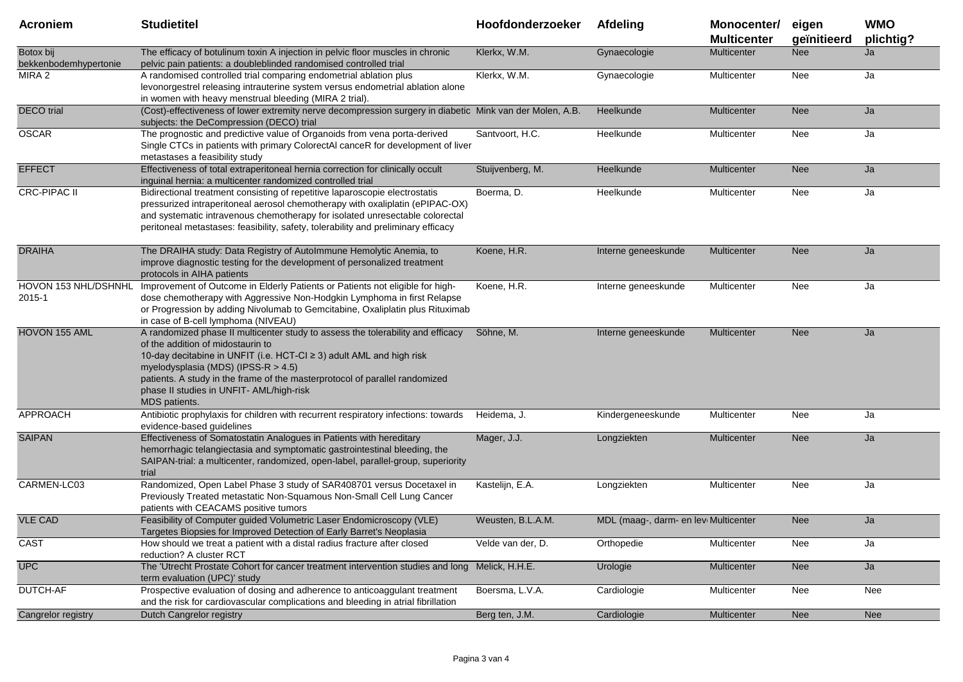| <b>Acroniem</b>                    | <b>Studietitel</b>                                                                                                                                                                                                                                                                                                                                                               | Hoofdonderzoeker  | Afdeling                             | Monocenter/<br><b>Multicenter</b> | eigen<br>geïnitieerd | <b>WMO</b><br>plichtig? |
|------------------------------------|----------------------------------------------------------------------------------------------------------------------------------------------------------------------------------------------------------------------------------------------------------------------------------------------------------------------------------------------------------------------------------|-------------------|--------------------------------------|-----------------------------------|----------------------|-------------------------|
| Botox bij<br>bekkenbodemhypertonie | The efficacy of botulinum toxin A injection in pelvic floor muscles in chronic<br>pelvic pain patients: a doubleblinded randomised controlled trial                                                                                                                                                                                                                              | Klerkx, W.M.      | Gynaecologie                         | Multicenter                       | <b>Nee</b>           | Ja                      |
| MIRA 2                             | A randomised controlled trial comparing endometrial ablation plus<br>levonorgestrel releasing intrauterine system versus endometrial ablation alone<br>in women with heavy menstrual bleeding (MIRA 2 trial).                                                                                                                                                                    | Klerkx, W.M.      | Gynaecologie                         | Multicenter                       | Nee                  | Ja                      |
| <b>DECO</b> trial                  | (Cost)-effectiveness of lower extremity nerve decompression surgery in diabetic Mink van der Molen, A.B.<br>subjects: the DeCompression (DECO) trial                                                                                                                                                                                                                             |                   | Heelkunde                            | <b>Multicenter</b>                | <b>Nee</b>           | Ja                      |
| <b>OSCAR</b>                       | The prognostic and predictive value of Organoids from vena porta-derived<br>Single CTCs in patients with primary ColorectAI canceR for development of liver<br>metastases a feasibility study                                                                                                                                                                                    | Santvoort, H.C.   | Heelkunde                            | Multicenter                       | Nee                  | Ja                      |
| <b>EFFECT</b>                      | Effectiveness of total extraperitoneal hernia correction for clinically occult<br>inguinal hernia: a multicenter randomized controlled trial                                                                                                                                                                                                                                     | Stuijvenberg, M.  | Heelkunde                            | Multicenter                       | Nee                  | Ja                      |
| <b>CRC-PIPAC II</b>                | Bidirectional treatment consisting of repetitive laparoscopie electrostatis<br>pressurized intraperitoneal aerosol chemotherapy with oxaliplatin (ePIPAC-OX)<br>and systematic intravenous chemotherapy for isolated unresectable colorectal<br>peritoneal metastases: feasibility, safety, tolerability and preliminary efficacy                                                | Boerma, D.        | Heelkunde                            | Multicenter                       | Nee                  | Ja                      |
| <b>DRAIHA</b>                      | The DRAIHA study: Data Registry of AutoImmune Hemolytic Anemia, to<br>improve diagnostic testing for the development of personalized treatment<br>protocols in AIHA patients                                                                                                                                                                                                     | Koene, H.R.       | Interne geneeskunde                  | Multicenter                       | <b>Nee</b>           | Ja                      |
| HOVON 153 NHL/DSHNHL<br>2015-1     | Improvement of Outcome in Elderly Patients or Patients not eligible for high-<br>dose chemotherapy with Aggressive Non-Hodgkin Lymphoma in first Relapse<br>or Progression by adding Nivolumab to Gemcitabine, Oxaliplatin plus Rituximab<br>in case of B-cell lymphoma (NIVEAU)                                                                                                 | Koene, H.R.       | Interne geneeskunde                  | Multicenter                       | Nee                  | Ja                      |
| HOVON 155 AML                      | A randomized phase II multicenter study to assess the tolerability and efficacy<br>of the addition of midostaurin to<br>10-day decitabine in UNFIT (i.e. HCT-CI ≥ 3) adult AML and high risk<br>myelodysplasia (MDS) (IPSS-R $>$ 4.5)<br>patients. A study in the frame of the masterprotocol of parallel randomized<br>phase II studies in UNFIT-AML/high-risk<br>MDS patients. | Söhne, M.         | Interne geneeskunde                  | Multicenter                       | <b>Nee</b>           | Ja                      |
| <b>APPROACH</b>                    | Antibiotic prophylaxis for children with recurrent respiratory infections: towards<br>evidence-based guidelines                                                                                                                                                                                                                                                                  | Heidema, J.       | Kindergeneeskunde                    | Multicenter                       | Nee                  | Ja                      |
| <b>SAIPAN</b>                      | Effectiveness of Somatostatin Analogues in Patients with hereditary<br>hemorrhagic telangiectasia and symptomatic gastrointestinal bleeding, the<br>SAIPAN-trial: a multicenter, randomized, open-label, parallel-group, superiority<br>trial                                                                                                                                    | Mager, J.J.       | Longziekten                          | <b>Multicenter</b>                | <b>Nee</b>           | Ja                      |
| CARMEN-LC03                        | Randomized, Open Label Phase 3 study of SAR408701 versus Docetaxel in<br>Previously Treated metastatic Non-Squamous Non-Small Cell Lung Cancer<br>patients with CEACAMS positive tumors                                                                                                                                                                                          | Kastelijn, E.A.   | Longziekten                          | Multicenter                       | Nee                  | Ja                      |
| <b>VLE CAD</b>                     | Feasibility of Computer guided Volumetric Laser Endomicroscopy (VLE)<br>Targetes Biopsies for Improved Detection of Early Barret's Neoplasia                                                                                                                                                                                                                                     | Weusten, B.L.A.M. | MDL (maag-, darm- en lev Multicenter |                                   | <b>Nee</b>           | Ja                      |
| CAST                               | How should we treat a patient with a distal radius fracture after closed<br>reduction? A cluster RCT                                                                                                                                                                                                                                                                             | Velde van der, D. | Orthopedie                           | Multicenter                       | Nee                  | Ja                      |
| <b>UPC</b>                         | The 'Utrecht Prostate Cohort for cancer treatment intervention studies and long Melick, H.H.E.<br>term evaluation (UPC)' study                                                                                                                                                                                                                                                   |                   | Urologie                             | Multicenter                       | Nee                  | Ja                      |
| DUTCH-AF                           | Prospective evaluation of dosing and adherence to anticoaggulant treatment<br>and the risk for cardiovascular complications and bleeding in atrial fibrillation                                                                                                                                                                                                                  | Boersma, L.V.A.   | Cardiologie                          | Multicenter                       | Nee                  | Nee                     |
| Cangrelor registry                 | Dutch Cangrelor registry                                                                                                                                                                                                                                                                                                                                                         | Berg ten, J.M.    | Cardiologie                          | Multicenter                       | Nee                  | Nee                     |